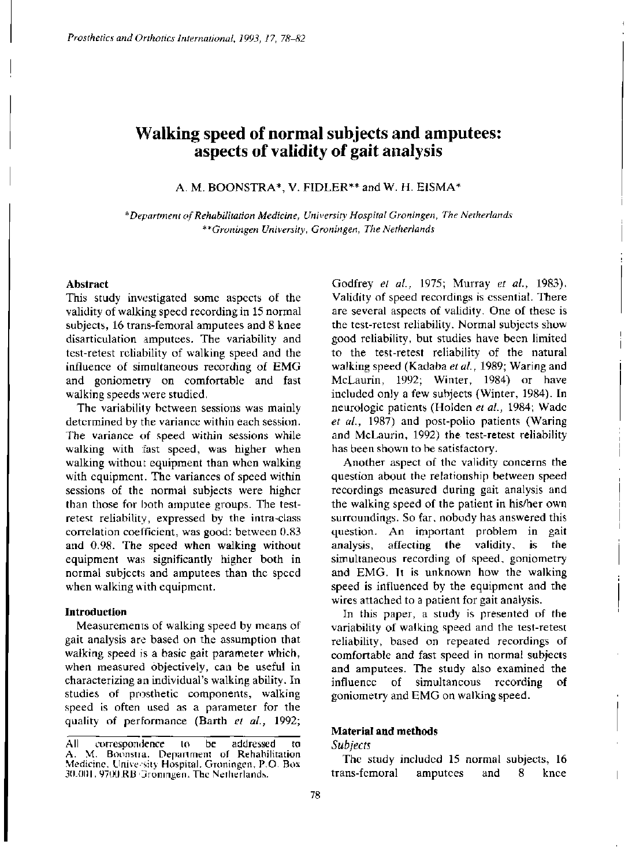# **Walking speed of normal subjects and amputees: aspects of validity of gait analysis**

A. M. BOONSTRA\*, V. FIDLER\*\* and W. H. EISMA\*

*\*Department of Rehabilitation Medicine, University Hospital Groningen, The Netherlands \*\*Groningen University, Groningen, The Netherlands* 

## **Abstract**

This study investigated some aspects of the validity of walking speed recording in 15 normal subjects, 16 trans-femoral amputees and 8 knee disarticulation amputees. The variability and test-retest reliability of walking speed and the influence of simultaneous recording of EMG and goniometry on comfortable and fast walking speeds were studied.

The variability between sessions was mainly determined by the variance within each session. The variance of speed within sessions while walking with fast speed, was higher when walking without equipment than when walking with equipment. The variances of speed within sessions of the normal subjects were higher than those for both amputee groups. The testretest reliability, expressed by the intra-class correlation coefficient, was good: between 0.83 and 0.98. The speed when walking without equipment was significantly higher both in normal subjects and amputees than the speed when walking with equipment.

## **Introduction**

Measurements of walking speed by means of gait analysis are based on the assumption that walking speed is a basic gait parameter which, when measured objectively, can be useful in characterizing an individual's walking ability. In studies of prosthetic components, walking speed is often used as a parameter for the quality of performance (Barth *et al.,* 1992; Godfrey *et al.,* 1975; Murray *et al.,* 1983). Validity of speed recordings is essential. There are several aspects of validity. One of these is the test-retest reliability. Normal subjects show good reliability, but studies have been limited to the test-retest reliability of the natural walking speed (Kadaba *et al.,* 1989; Waring and McLaurin, 1992; Winter, 1984) or have included only a few subjects (Winter, 1984). In neurologic patients (Holden *et al.,* 1984; Wade *et al.,* 1987) and post-polio patients (Waring and McLaurin, 1992) the test-retest reliability has been shown to be satisfactory.

Another aspect of the validity concerns the question about the relationship between speed recordings measured during gait analysis and the walking speed of the patient in his/her own surroundings. So far, nobody has answered this question. An important problem in gait analysis, affecting the validity, is the simultaneous recording of speed, goniometry and EMG. It is unknown how the walking speed is influenced by the equipment and the wires attached to a patient for gait analysis.

In this paper, a study is presented of the variability of walking speed and the test-retest reliability, based on repeated recordings of comfortable and fast speed in normal subjects and amputees. The study also examined the influence of simultaneous recording of goniometry and EMG on walking speed.

#### **Material and methods**

### *Subjects*

The study included 15 normal subjects, 16 trans-femoral amputees and 8 knee

All correspondence to be addressed to A. M. Boonstra. Department of Rehabilitation Medicine. Universitv Hospital. Groningen, P.O. Box 30.001 , 9700 RB Groningen. The Netherlands.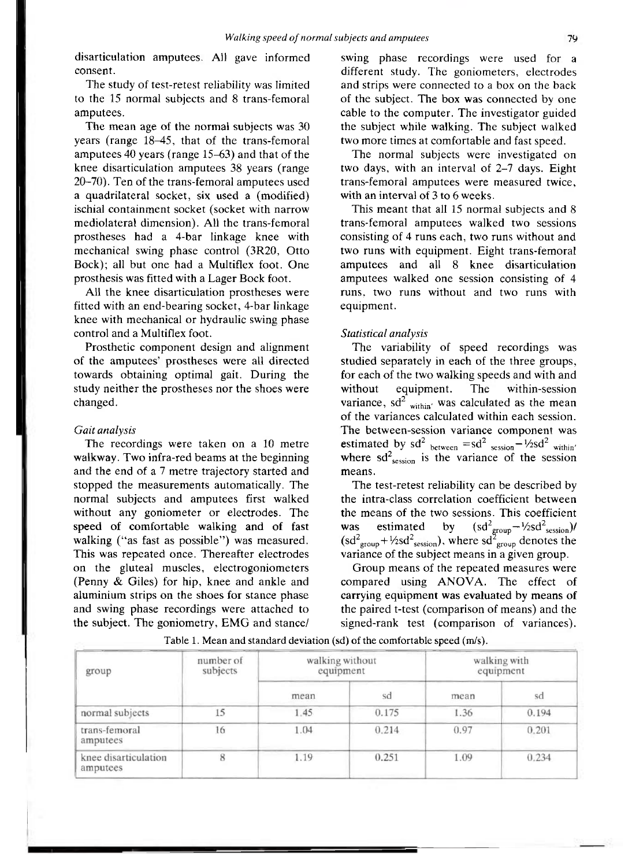disarticulation amputees. All gave informed consent.

The study of test-retest reliability was limited to the 15 normal subjects and 8 trans-femoral amputees.

The mean age of the normal subjects was 30 years (range 18-45, that of the trans-femoral amputees 40 years (range 15-63) and that of the knee disarticulation amputees 38 years (range 20-70). Ten of the trans-femoral amputees used a quadrilateral socket, six used a (modified) ischial containment socket (socket with narrow mediolateral dimension). All the trans-femoral prostheses had a 4-bar linkage knee with mechanical swing phase control (3R20, Otto Bock); all but one had a Multiflex foot. One prosthesis was fitted with a Lager Bock foot.

All the knee disarticulation prostheses were fitted with an end-bearing socket, 4-bar linkage knee with mechanical or hydraulic swing phase control and a Multiflex foot.

Prosthetic component design and alignment of the amputees' prostheses were all directed towards obtaining optimal gait. During the study neither the prostheses nor the shoes were changed.

#### *Gait analysis*

The recordings were taken on a 10 metre walkway. Two infra-red beams at the beginning and the end of a 7 metre trajectory started and stopped the measurements automatically. The normal subjects and amputees first walked without any goniometer or electrodes. The speed of comfortable walking and of fast walking ("as fast as possible") was measured. This was repeated once. Thereafter electrodes on the gluteal muscles, electrogoniometers (Penny & Giles) for hip, knee and ankle and aluminium strips on the shoes for stance phase and swing phase recordings were attached to the subject. The goniometry, EMG and stance/

swing phase recordings were used for a different study. The goniometers, electrodes and strips were connected to a box on the back of the subject. The box was connected by one cable to the computer. The investigator guided the subject while walking. The subject walked two more times at comfortable and fast speed.

The normal subjects were investigated on two days, with an interval of 2-7 days. Eight trans-femoral amputees were measured twice, with an interval of 3 to 6 weeks.

This meant that all 15 normal subjects and 8 trans-femoral amputees walked two sessions consisting of 4 runs each, two runs without and two runs with equipment. Eight trans-femoral amputees and all 8 knee disarticulation amputees walked one session consisting of 4 runs, two runs without and two runs with equipment.

#### *Statistical analysis*

The variability of speed recordings was studied separately in each of the three groups, for each of the two walking speeds and with and without equipment. The within-session variance, sd<sup>2</sup> <sub>within</sub>, was calculated as the mean of the variances calculated within each session. The between-session variance component was estimated by  $sd^2$  between  $= sd^2$  session  $-1/2sd^2$  within where  $sd<sup>2</sup>$ <sub>session</sub> is the variance of the session means.

The test-retest reliability can be described by the intra-class correlation coefficient between the means of the two sessions. This coefficient was estimated by  $(s d<sup>2</sup>_{\text{groun}} - \frac{1}{2} s d<sup>2</sup>_{\text{session}})$ /  $(\text{sd}^2_{\text{group}} + \frac{1}{2} \text{sd}^2_{\text{session}}), \text{ where } \text{sd}^2_{\text{group}} \text{ denotes the}$ variance of the subject means in a given group.

Group means of the repeated measures were compared using ANOVA. The effect of carrying equipment was evaluated by means of the paired t-test (comparison of means) and the signed-rank test (comparison of variances).

| group                            | number of<br>subjects | walking without<br>equipment |       | walking with<br>equipment |       |
|----------------------------------|-----------------------|------------------------------|-------|---------------------------|-------|
|                                  |                       | mean                         | sd    | mean                      | sd    |
| normal subjects                  | 15                    | 1.45                         | 0.175 | 1.36                      | 0.194 |
| trans-femoral<br>amputees        | 16                    | 1.04                         | 0.214 | 0.97                      | 0.201 |
| knee disarticulation<br>amputees | 8                     | 1.19                         | 0.251 | 1.09                      | 0.234 |

Table 1. Mean and standard deviation (sd) of the comfortable speed (m/s).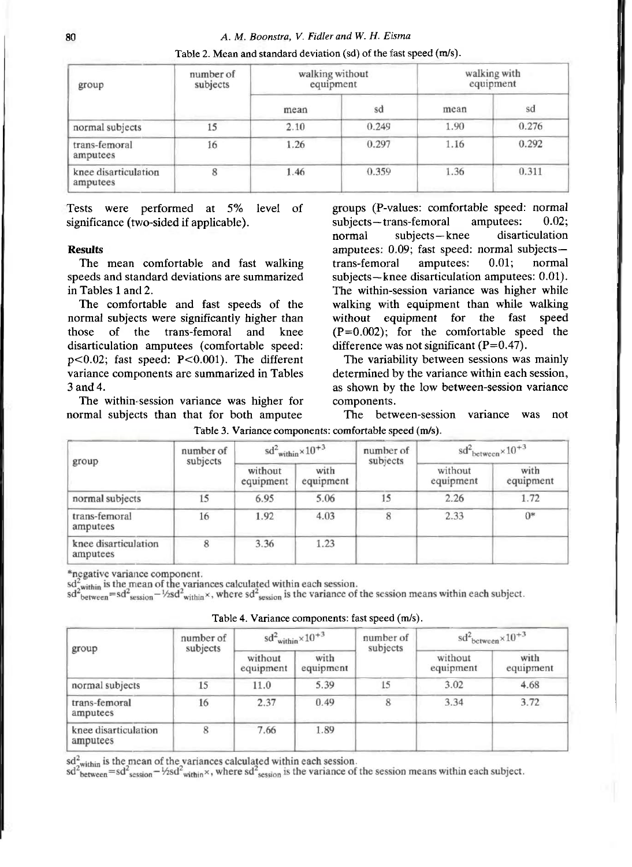| group                            | number of<br>subjects | walking without<br>equipment |       | walking with<br>equipment |       |
|----------------------------------|-----------------------|------------------------------|-------|---------------------------|-------|
|                                  |                       | mean                         | sd    | mean                      | sd    |
| normal subjects                  | 15                    | 2.10                         | 0.249 | 1.90                      | 0.276 |
| trans-femoral<br>amputees        | 16                    | 1.26                         | 0.297 | 1.16                      | 0.292 |
| knee disarticulation<br>amputees | 8                     | 1.46                         | 0.359 | 1.36                      | 0.311 |

Table 2. Mean and standard deviation (sd) of the fast speed (m/s).

Tests were performed at 5% level of significance (two-sided if applicable).

## **Results**

The mean comfortable and fast walking speeds and standard deviations are summarized in Tables 1 and 2.

The comfortable and fast speeds of the normal subjects were significantly higher than those of the trans-femoral and knee disarticulation amputees (comfortable speed: p<0.02; fast speed: P<0.001). The different variance components are summarized in Tables 3 and 4.

The within-session variance was higher for normal subjects than that for both amputee

groups (P-values: comfortable speed: normal subjects—trans-femoral amputees: 0.02; normal subjects—knee disarticulation amputees: 0.09; fast speed: normal subjects trans-femoral amputees: 0.01; normal subjects—knee disarticulation amputees: 0.01). The within-session variance was higher while walking with equipment than while walking without equipment for the fast speed  $(P=0.002)$ ; for the comfortable speed the difference was not significant  $(P=0.47)$ .

The variability between sessions was mainly determined by the variance within each session, as shown by the low between-session variance components.

The between-session variance was not

| group                            | number of<br>subjects | $sd^2$ <sub>within</sub> $\times 10^{+3}$ |                   | number of<br>subjects | $sd^2$ <sub>between</sub> $\times 10^{+3}$ |                   |
|----------------------------------|-----------------------|-------------------------------------------|-------------------|-----------------------|--------------------------------------------|-------------------|
|                                  |                       | without<br>equipment                      | with<br>equipment |                       | without<br>equipment                       | with<br>equipment |
| normal subjects                  | 15                    | 6.95                                      | 5.06              | 15                    | 2.26                                       | 1.72              |
| trans-femoral<br>amputees        | 16                    | 1.92                                      | 4.03              | 8                     | 2.33                                       | $0*$              |
| knee disarticulation<br>amputees | 8                     | 3.36                                      | 1.23              |                       |                                            |                   |

Table 3. Variance components: comfortable speed (m/s).

\*negative variance component.

regative variance component.<br>  $sd_{\text{z}}^2$  within is the mean of the variances calculated within each session.<br>  $sd_{\text{between}}^2 = sd^2$  session  $-\frac{1}{2}sd^2$  within  $\times$ , where  $sd^2$  session is the variance of the session means wit

Table 4. Variance components: fast speed (m/s).

| group                            | number of<br>subjects | $sd^2$ <sub>within</sub> $\times 10^{+3}$ |                   | number of<br>subjects | $sd^2$ <sub>between</sub> $\times 10^{+3}$ |                   |
|----------------------------------|-----------------------|-------------------------------------------|-------------------|-----------------------|--------------------------------------------|-------------------|
|                                  |                       | without<br>equipment                      | with<br>equipment |                       | without<br>equipment                       | with<br>equipment |
| normal subjects                  | 15                    | 11.0                                      | 5.39              | 15                    | 3.02                                       | 4.68              |
| trans-femoral<br>amputees        | 16                    | 2.37                                      | 0.49              | 8                     | 3.34                                       | 3.72              |
| knee disarticulation<br>amputees | 8                     | 7.66                                      | 1.89              |                       |                                            |                   |

 $sd_{\text{within}}^2$  is the mean of the variances calculated within each session.

 $sd^2$ <sup>whim</sup> =  $sd^2$ <sub>session</sub> -  $\frac{1}{2}sd^2$ <sub>within</sub> ×, where  $sd^2$ <sub>session</sub> is the variance of the session means within each subject.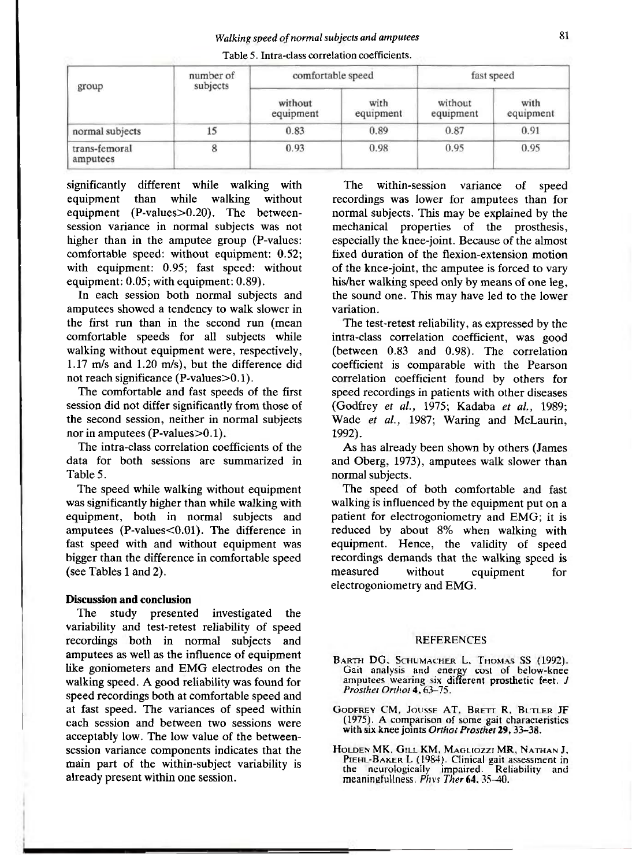| group                     | number of<br>subjects | comfortable speed    |                   | fast speed           |                   |
|---------------------------|-----------------------|----------------------|-------------------|----------------------|-------------------|
|                           |                       | without<br>equipment | with<br>equipment | without<br>equipment | with<br>equipment |
| normal subjects           | 15                    | 0.83                 | 0.89              | 0.87                 | 0.91              |
| trans-femoral<br>amputees |                       | 0.93                 | 0.98              | 0.95                 | 0.95              |

Table 5. Intra-class correlation coefficients.

significantly different while walking with equipment than while walking without equipment (P-values>0.20). The betweensession variance in normal subjects was not higher than in the amputee group (P-values: comfortable speed: without equipment: 0.52; with equipment: 0.95; fast speed: without equipment: 0.05; with equipment: 0.89).

In each session both normal subjects and amputees showed a tendency to walk slower in the first run than in the second run (mean comfortable speeds for all subjects while walking without equipment were, respectively, 1.17 m/s and 1.20 m/s), but the difference did not reach significance (P-values>0.1).

The comfortable and fast speeds of the first session did not differ significantly from those of the second session, neither in normal subjects nor in amputees (P-values>0.1).

The intra-class correlation coefficients of the data for both sessions are summarized in Table 5.

The speed while walking without equipment was significantly higher than while walking with equipment, both in normal subjects and amputees (P-values<0.01). The difference in fast speed with and without equipment was bigger than the difference in comfortable speed (see Tables 1 and 2).

## **Discussion and conclusion**

The study presented investigated the variability and test-retest reliability of speed recordings both in normal subjects and amputees as well as the influence of equipment like goniometers and EMG electrodes on the walking speed. A good reliability was found for speed recordings both at comfortable speed and at fast speed. The variances of speed within each session and between two sessions were acceptably low. The low value of the betweensession variance components indicates that the main part of the within-subject variability is already present within one session.

The within-session variance of speed recordings was lower for amputees than for normal subjects. This may be explained by the mechanical properties of the prosthesis, especially the knee-joint. Because of the almost fixed duration of the flexion-extension motion of the knee-joint, the amputee is forced to vary his/her walking speed only by means of one leg, the sound one. This may have led to the lower variation.

The test-retest reliability, as expressed by the intra-class correlation coefficient, was good (between 0.83 and 0.98). The correlation coefficient is comparable with the Pearson correlation coefficient found by others for speed recordings in patients with other diseases (Godfrey *et al.,* 1975; Kadaba *et al.,* 1989; Wade *et al.,* 1987; Waring and McLaurin, 1992).

As has already been shown by others (James and Oberg, 1973), amputees walk slower than normal subjects.

The speed of both comfortable and fast walking is influenced by the equipment put on a patient for electrogoniometry and EMG; it is reduced by about 8% when walking with equipment. Hence, the validity of speed recordings demands that the walking speed is measured without equipment for electrogoniometry and EMG .

## **REFERENCES**

- BARTH DG, SCHUMACHER L, THOMAS SS (1992). Gail analysis and energy cost of below-knee amputees wearing six different prosthetic feet. *J Prosthet Orthol* **4,** 63-75.
- **GODFREY** CM, **JOUSSE AT, BRETT** R, **BUTLER** JF (1975). **A** comparison of some gait characteristics with six knee joints Orthot Prosthet 29, 33-38.
- **HOLDEN** MK, **GILL** KM, **MAGLIOZZI** MR, **NATHAN** J, **PieHL-BAKER L** (1984). Clinical gait assessment in the neurologically impaired. Reliability and meaningfullness. *Phys Ther* **64,** 35-40.